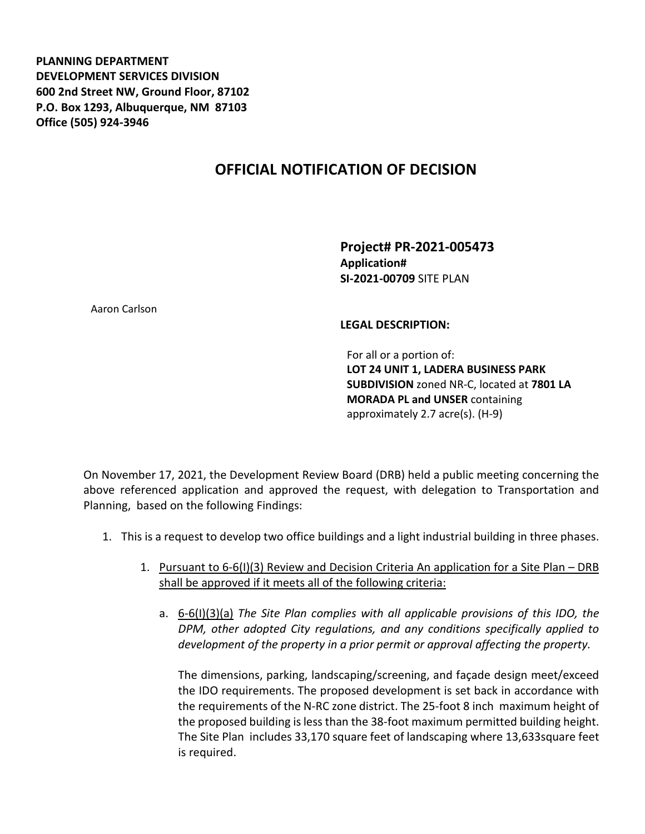**PLANNING DEPARTMENT DEVELOPMENT SERVICES DIVISION 600 2nd Street NW, Ground Floor, 87102 P.O. Box 1293, Albuquerque, NM 87103 Office (505) 924-3946** 

## **OFFICIAL NOTIFICATION OF DECISION**

**Project# PR-2021-005473 Application# SI-2021-00709** SITE PLAN

Aaron Carlson

## **LEGAL DESCRIPTION:**

For all or a portion of: **LOT 24 UNIT 1, LADERA BUSINESS PARK SUBDIVISION** zoned NR-C, located at **7801 LA MORADA PL and UNSER** containing approximately 2.7 acre(s). (H-9)

On November 17, 2021, the Development Review Board (DRB) held a public meeting concerning the above referenced application and approved the request, with delegation to Transportation and Planning, based on the following Findings:

- 1. This is a request to develop two office buildings and a light industrial building in three phases.
	- 1. Pursuant to 6-6(I)(3) Review and Decision Criteria An application for a Site Plan DRB shall be approved if it meets all of the following criteria:
		- a. 6-6(I)(3)(a) *The Site Plan complies with all applicable provisions of this IDO, the DPM, other adopted City regulations, and any conditions specifically applied to development of the property in a prior permit or approval affecting the property.*

The dimensions, parking, landscaping/screening, and façade design meet/exceed the IDO requirements. The proposed development is set back in accordance with the requirements of the N-RC zone district. The 25-foot 8 inch maximum height of the proposed building is less than the 38-foot maximum permitted building height. The Site Plan includes 33,170 square feet of landscaping where 13,633square feet is required.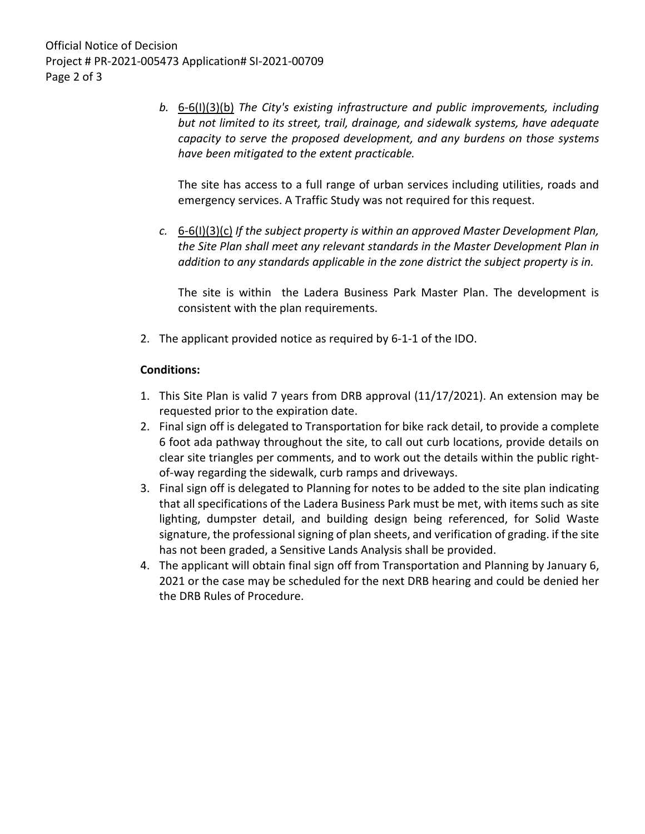*b.* 6-6(I)(3)(b) *The City's existing infrastructure and public improvements, including but not limited to its street, trail, drainage, and sidewalk systems, have adequate capacity to serve the proposed development, and any burdens on those systems have been mitigated to the extent practicable.* 

The site has access to a full range of urban services including utilities, roads and emergency services. A Traffic Study was not required for this request.

*c.* 6-6(I)(3)(c) *If the subject property is within an approved Master Development Plan, the Site Plan shall meet any relevant standards in the Master Development Plan in addition to any standards applicable in the zone district the subject property is in.*

The site is within the Ladera Business Park Master Plan. The development is consistent with the plan requirements.

2. The applicant provided notice as required by 6-1-1 of the IDO.

## **Conditions:**

- 1. This Site Plan is valid 7 years from DRB approval (11/17/2021). An extension may be requested prior to the expiration date.
- 2. Final sign off is delegated to Transportation for bike rack detail, to provide a complete 6 foot ada pathway throughout the site, to call out curb locations, provide details on clear site triangles per comments, and to work out the details within the public rightof-way regarding the sidewalk, curb ramps and driveways.
- 3. Final sign off is delegated to Planning for notes to be added to the site plan indicating that all specifications of the Ladera Business Park must be met, with items such as site lighting, dumpster detail, and building design being referenced, for Solid Waste signature, the professional signing of plan sheets, and verification of grading. if the site has not been graded, a Sensitive Lands Analysis shall be provided.
- 4. The applicant will obtain final sign off from Transportation and Planning by January 6, 2021 or the case may be scheduled for the next DRB hearing and could be denied her the DRB Rules of Procedure.